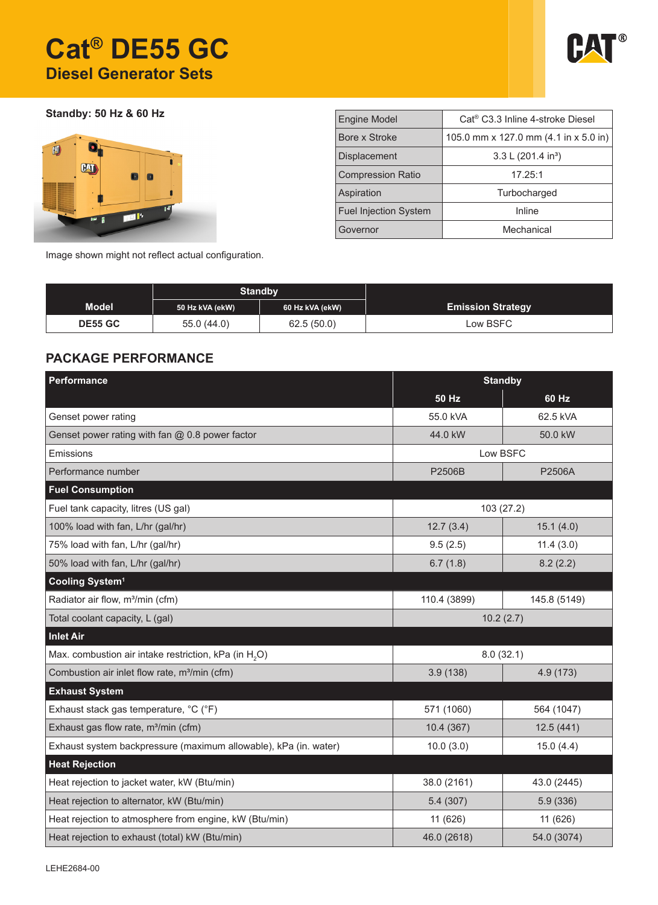# **Cat® DE55 GC Diesel Generator Sets**



**Standby: 50 Hz & 60 Hz**



| <b>Engine Model</b>          | Cat <sup>®</sup> C3.3 Inline 4-stroke Diesel |
|------------------------------|----------------------------------------------|
| Bore x Stroke                | 105.0 mm x 127.0 mm (4.1 in x 5.0 in)        |
| <b>Displacement</b>          | 3.3 L (201.4 in <sup>3</sup> )               |
| <b>Compression Ratio</b>     | 17.25:1                                      |
| Aspiration                   | Turbocharged                                 |
| <b>Fuel Injection System</b> | Inline                                       |
| Governor                     | Mechanical                                   |

Image shown might not reflect actual configuration.

|                | <b>Standby</b>  |                 |                          |
|----------------|-----------------|-----------------|--------------------------|
| <b>Model</b>   | 50 Hz kVA (ekW) | 60 Hz kVA (ekW) | <b>Emission Strategy</b> |
| <b>DE55 GC</b> | 55.0(44.0)      | 62.5(50.0)      | Low BSFC                 |

### **PACKAGE PERFORMANCE**

| Performance                                                       | <b>Standby</b> |              |  |  |
|-------------------------------------------------------------------|----------------|--------------|--|--|
|                                                                   | 50 Hz          | 60 Hz        |  |  |
| Genset power rating                                               | 55.0 kVA       | 62.5 kVA     |  |  |
| Genset power rating with fan @ 0.8 power factor                   | 44.0 kW        | 50.0 kW      |  |  |
| Emissions                                                         | Low BSFC       |              |  |  |
| Performance number                                                | P2506B         | P2506A       |  |  |
| <b>Fuel Consumption</b>                                           |                |              |  |  |
| Fuel tank capacity, litres (US gal)                               | 103(27.2)      |              |  |  |
| 100% load with fan, L/hr (gal/hr)                                 | 12.7(3.4)      | 15.1(4.0)    |  |  |
| 75% load with fan, L/hr (gal/hr)                                  | 9.5(2.5)       | 11.4(3.0)    |  |  |
| 50% load with fan, L/hr (gal/hr)                                  | 6.7(1.8)       | 8.2(2.2)     |  |  |
| Cooling System <sup>1</sup>                                       |                |              |  |  |
| Radiator air flow, m <sup>3</sup> /min (cfm)                      | 110.4 (3899)   | 145.8 (5149) |  |  |
| Total coolant capacity, L (gal)                                   | 10.2(2.7)      |              |  |  |
| <b>Inlet Air</b>                                                  |                |              |  |  |
| Max. combustion air intake restriction, kPa (in H <sub>2</sub> O) | 8.0(32.1)      |              |  |  |
| Combustion air inlet flow rate, m <sup>3</sup> /min (cfm)         | 3.9(138)       | 4.9 (173)    |  |  |
| <b>Exhaust System</b>                                             |                |              |  |  |
| Exhaust stack gas temperature, °C (°F)                            | 571 (1060)     | 564 (1047)   |  |  |
| Exhaust gas flow rate, m <sup>3</sup> /min (cfm)                  | 10.4 (367)     | 12.5(441)    |  |  |
| Exhaust system backpressure (maximum allowable), kPa (in. water)  | 10.0(3.0)      | 15.0(4.4)    |  |  |
| <b>Heat Rejection</b>                                             |                |              |  |  |
| Heat rejection to jacket water, kW (Btu/min)                      | 38.0 (2161)    | 43.0 (2445)  |  |  |
| Heat rejection to alternator, kW (Btu/min)                        | 5.4(307)       | 5.9 (336)    |  |  |
| Heat rejection to atmosphere from engine, kW (Btu/min)            | 11 (626)       | 11 (626)     |  |  |
| Heat rejection to exhaust (total) kW (Btu/min)                    | 46.0 (2618)    | 54.0 (3074)  |  |  |